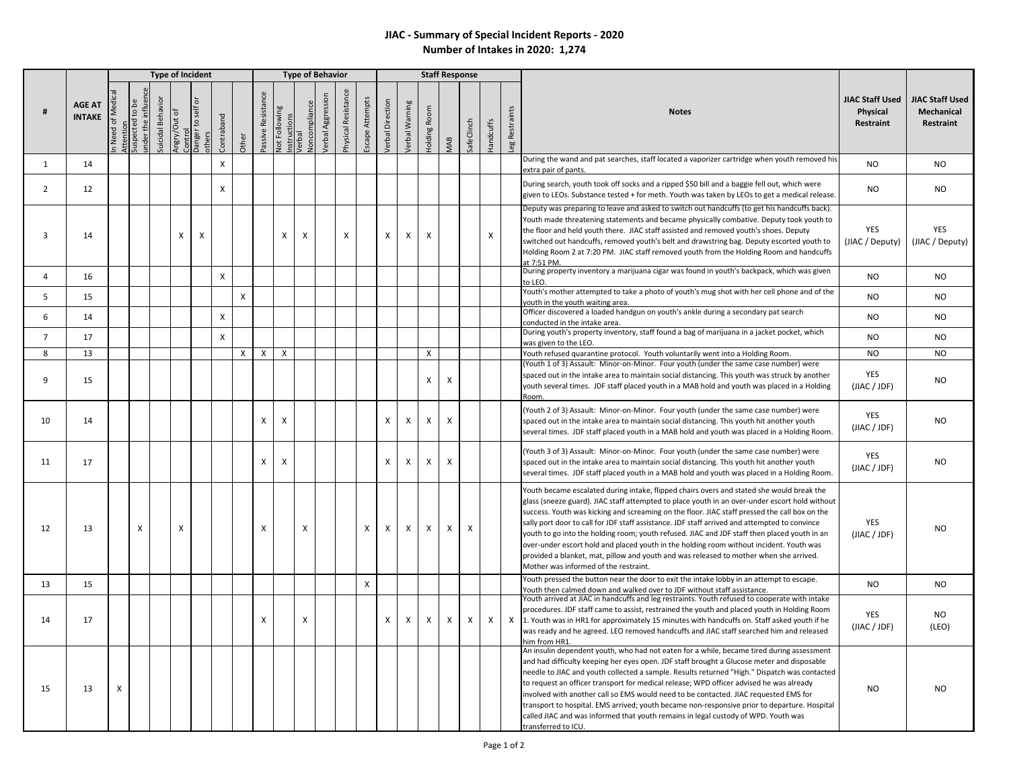## **JIAC - Summary of Special Incident Reports - 2020 Number of Intakes in 2020: 1,274**

|                         |                                |              |                                                  |                  |              | <b>Type of Incident</b>                           |                |              | <b>Type of Behavior</b> |                                          |                               |                   |                     |                 |                           |                |              |                           | <b>Staff Response</b>     |                  |               |                                                                                                                                                                                                                                                                                                                                                                                                                                                                                                                                                                                                                                                                                                                                                           |                                                          |
|-------------------------|--------------------------------|--------------|--------------------------------------------------|------------------|--------------|---------------------------------------------------|----------------|--------------|-------------------------|------------------------------------------|-------------------------------|-------------------|---------------------|-----------------|---------------------------|----------------|--------------|---------------------------|---------------------------|------------------|---------------|-----------------------------------------------------------------------------------------------------------------------------------------------------------------------------------------------------------------------------------------------------------------------------------------------------------------------------------------------------------------------------------------------------------------------------------------------------------------------------------------------------------------------------------------------------------------------------------------------------------------------------------------------------------------------------------------------------------------------------------------------------------|----------------------------------------------------------|
|                         | <b>AGE AT</b><br><b>INTAKE</b> | Need of Med  | Attention<br>Suspected to be<br>inder the influe | Suicidal Behavio | Angry/Out of | ō<br>Control<br>Danger to self o<br><b>others</b> | Contraband     | Other        | Passive Resistance      | <b>Not Following</b><br>ructions<br>nstr | <b>Joncompliance</b><br>erbal | Verbal Aggression | Physical Resistance | Escape Attempts | <b>/erbal Direction</b>   | /erbal Warning | Holding Room | MAB                       | SafeClinch                | <b>Handcuffs</b> | eg Restraints | <b>JIAC Staff Used</b><br><b>Notes</b><br><b>Physical</b><br>Restraint                                                                                                                                                                                                                                                                                                                                                                                                                                                                                                                                                                                                                                                                                    | <b>JIAC Staff Used</b><br><b>Mechanical</b><br>Restraint |
| $\mathbf{1}$            | 14                             |              |                                                  |                  |              |                                                   | $\mathsf{x}$   |              |                         |                                          |                               |                   |                     |                 |                           |                |              |                           |                           |                  |               | During the wand and pat searches, staff located a vaporizer cartridge when youth removed his<br>NO.<br>extra pair of pants.                                                                                                                                                                                                                                                                                                                                                                                                                                                                                                                                                                                                                               | <b>NO</b>                                                |
| $\overline{2}$          | 12                             |              |                                                  |                  |              |                                                   | $\mathsf{X}$   |              |                         |                                          |                               |                   |                     |                 |                           |                |              |                           |                           |                  |               | During search, youth took off socks and a ripped \$50 bill and a baggie fell out, which were<br>N <sub>O</sub><br>given to LEOs. Substance tested + for meth. Youth was taken by LEOs to get a medical release.                                                                                                                                                                                                                                                                                                                                                                                                                                                                                                                                           | N <sub>O</sub>                                           |
| 3                       | 14                             |              |                                                  |                  | X            | X                                                 |                |              |                         | X                                        | $\mathsf{\chi}$               |                   | X                   |                 | $\boldsymbol{\mathsf{x}}$ | X              | X            |                           |                           | X                |               | Deputy was preparing to leave and asked to switch out handcuffs (to get his handcuffs back).<br>Youth made threatening statements and became physically combative. Deputy took youth to<br>YES<br>the floor and held youth there. JIAC staff assisted and removed youth's shoes. Deputy<br>(JIAC / Deputy)<br>switched out handcuffs, removed youth's belt and drawstring bag. Deputy escorted youth to<br>Holding Room 2 at 7:20 PM. JIAC staff removed youth from the Holding Room and handcuffs<br>t 7.51 PM                                                                                                                                                                                                                                           | <b>YES</b><br>(JIAC / Deputy)                            |
| $\overline{\mathbf{4}}$ | 16                             |              |                                                  |                  |              |                                                   | $\mathsf{X}$   |              |                         |                                          |                               |                   |                     |                 |                           |                |              |                           |                           |                  |               | During property inventory a marijuana cigar was found in youth's backpack, which was given<br>N <sub>O</sub><br>o LEO.                                                                                                                                                                                                                                                                                                                                                                                                                                                                                                                                                                                                                                    | N <sub>O</sub>                                           |
| 5                       | 15                             |              |                                                  |                  |              |                                                   |                | X            |                         |                                          |                               |                   |                     |                 |                           |                |              |                           |                           |                  |               | Youth's mother attempted to take a photo of youth's mug shot with her cell phone and of the<br>N <sub>O</sub><br>vouth in the vouth waiting area.                                                                                                                                                                                                                                                                                                                                                                                                                                                                                                                                                                                                         | <b>NO</b>                                                |
| 6                       | 14                             |              |                                                  |                  |              |                                                   | $\pmb{\times}$ |              |                         |                                          |                               |                   |                     |                 |                           |                |              |                           |                           |                  |               | Officer discovered a loaded handgun on youth's ankle during a secondary pat search<br><b>NO</b><br>conducted in the intake area.                                                                                                                                                                                                                                                                                                                                                                                                                                                                                                                                                                                                                          | <b>NO</b>                                                |
| $\overline{7}$          | 17                             |              |                                                  |                  |              |                                                   | $\mathsf{x}$   |              |                         |                                          |                               |                   |                     |                 |                           |                |              |                           |                           |                  |               | During youth's property inventory, staff found a bag of marijuana in a jacket pocket, which<br>N <sub>O</sub><br>was given to the LEO.                                                                                                                                                                                                                                                                                                                                                                                                                                                                                                                                                                                                                    | N <sub>O</sub>                                           |
| 8                       | 13                             |              |                                                  |                  |              |                                                   |                | $\mathsf{x}$ | $\mathsf{X}$            | X                                        |                               |                   |                     |                 |                           |                | X            |                           |                           |                  |               | <b>NO</b><br>Youth refused quarantine protocol. Youth voluntarily went into a Holding Room.                                                                                                                                                                                                                                                                                                                                                                                                                                                                                                                                                                                                                                                               | N <sub>O</sub>                                           |
| q                       | 15                             |              |                                                  |                  |              |                                                   |                |              |                         |                                          |                               |                   |                     |                 |                           |                | X            | X                         |                           |                  |               | Youth 1 of 3) Assault: Minor-on-Minor. Four youth (under the same case number) were<br><b>YES</b><br>spaced out in the intake area to maintain social distancing. This youth was struck by another<br>youth several times. JDF staff placed youth in a MAB hold and youth was placed in a Holding<br>(JIAC / JDF)<br>Room.                                                                                                                                                                                                                                                                                                                                                                                                                                | <b>NO</b>                                                |
| 10                      | 14                             |              |                                                  |                  |              |                                                   |                |              | X                       | X                                        |                               |                   |                     |                 | X                         | $\pmb{\chi}$   | X            | $\boldsymbol{\mathsf{X}}$ |                           |                  |               | (Youth 2 of 3) Assault: Minor-on-Minor. Four youth (under the same case number) were<br>YES<br>spaced out in the intake area to maintain social distancing. This youth hit another youth<br>(JIAC / JDF)<br>several times. JDF staff placed youth in a MAB hold and youth was placed in a Holding Room.                                                                                                                                                                                                                                                                                                                                                                                                                                                   | <b>NO</b>                                                |
| 11                      | 17                             |              |                                                  |                  |              |                                                   |                |              | X                       | X                                        |                               |                   |                     |                 | $\boldsymbol{\mathsf{X}}$ | $\pmb{\times}$ | $\pmb{\chi}$ | X                         |                           |                  |               | (Youth 3 of 3) Assault: Minor-on-Minor. Four youth (under the same case number) were<br>YES<br>spaced out in the intake area to maintain social distancing. This youth hit another youth<br>(JIAC / JDF)<br>several times. JDF staff placed youth in a MAB hold and youth was placed in a Holding Room.                                                                                                                                                                                                                                                                                                                                                                                                                                                   | <b>NO</b>                                                |
| 12                      | 13                             |              | X                                                |                  | X            |                                                   |                |              | X                       |                                          | $\mathsf{X}$                  |                   |                     | X               | X                         | $\mathsf{X}$   | X            | X                         | $\boldsymbol{\mathsf{X}}$ |                  |               | Youth became escalated during intake, flipped chairs overs and stated she would break the<br>glass (sneeze guard). JIAC staff attempted to place youth in an over-under escort hold without<br>success. Youth was kicking and screaming on the floor. JIAC staff pressed the call box on the<br><b>YES</b><br>sally port door to call for JDF staff assistance. JDF staff arrived and attempted to convince<br>youth to go into the holding room; youth refused. JIAC and JDF staff then placed youth in an<br>(JIAC / JDF)<br>over-under escort hold and placed youth in the holding room without incident. Youth was<br>provided a blanket, mat, pillow and youth and was released to mother when she arrived.<br>Mother was informed of the restraint. | <b>NO</b>                                                |
| 13                      | 15                             |              |                                                  |                  |              |                                                   |                |              |                         |                                          |                               |                   |                     | $\mathsf{x}$    |                           |                |              |                           |                           |                  |               | Youth pressed the button near the door to exit the intake lobby in an attempt to escape.<br><b>NO</b><br>Youth then calmed down and walked over to JDF without staff assistance.                                                                                                                                                                                                                                                                                                                                                                                                                                                                                                                                                                          | N <sub>O</sub>                                           |
| 14                      | 17                             |              |                                                  |                  |              |                                                   |                |              | X                       |                                          | $\mathsf{x}$                  |                   |                     |                 | $\boldsymbol{\mathsf{x}}$ | X              | X            | X                         | $\mathsf{x}$              | X                |               | Youth arrived at JIAC in handcuffs and leg restraints. Youth refused to cooperate with intake<br>procedures. JDF staff came to assist, restrained the youth and placed youth in Holding Room<br><b>YES</b><br>X 1. Youth was in HR1 for approximately 15 minutes with handcuffs on. Staff asked youth if he<br>(JIAC / JDF)<br>was ready and he agreed. LEO removed handcuffs and JIAC staff searched him and released<br>him from HR1                                                                                                                                                                                                                                                                                                                    | NO.<br>(LEO)                                             |
| 15                      | 13                             | $\mathsf{x}$ |                                                  |                  |              |                                                   |                |              |                         |                                          |                               |                   |                     |                 |                           |                |              |                           |                           |                  |               | An insulin dependent youth, who had not eaten for a while, became tired during assessment<br>and had difficulty keeping her eyes open. JDF staff brought a Glucose meter and disposable<br>needle to JIAC and youth collected a sample. Results returned "High." Dispatch was contacted<br>to request an officer transport for medical release; WPD officer advised he was already<br>NO<br>involved with another call so EMS would need to be contacted. JIAC requested EMS for<br>transport to hospital. EMS arrived; youth became non-responsive prior to departure. Hospital<br>called JIAC and was informed that youth remains in legal custody of WPD. Youth was<br>transferred to ICU.                                                             | N <sub>O</sub>                                           |